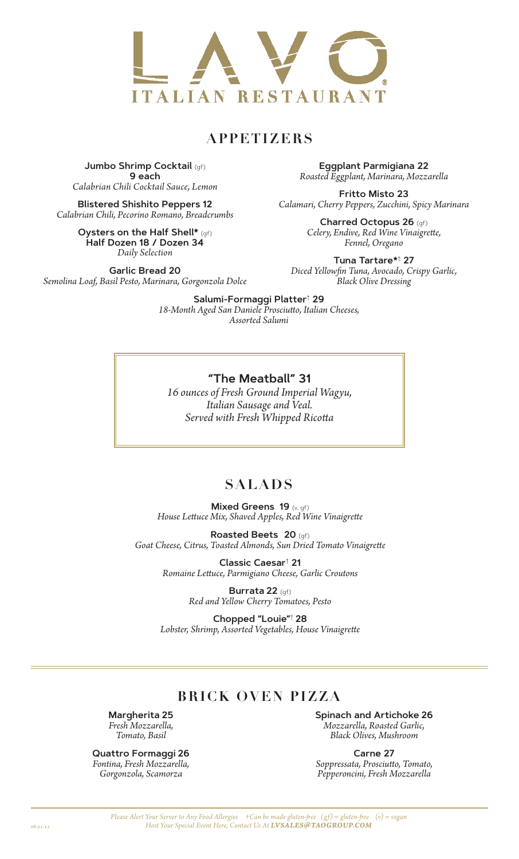

## **APPETIZERS**

**Jumbo Shrimp Cocktail** (gf) **9 each** *Calabrian Chili Cocktail Sauce, Lemon*

**Blistered Shishito Peppers 12** *Calabrian Chili, Pecorino Romano, Breadcrumbs*

> **Oysters on the Half Shell\*** (gf) **Half Dozen 18 / Dozen 34** *Daily Selection*

**Garlic Bread 20** *Semolina Loaf, Basil Pesto, Marinara, Gorgonzola Dolce*

**Eggplant Parmigiana 22** *Roasted Eggplant, Marinara, Mozzarella*

**Fritto Misto 23** *Calamari, Cherry Peppers, Zucchini, Spicy Marinara*

> **Charred Octopus 26** (gf) *Celery, Endive, Red Wine Vinaigrette, Fennel, Oregano*

**Tuna Tartare\***†  **27** *Diced Yellowfin Tuna, Avocado, Crispy Garlic, Black Olive Dressing*

**Salumi-Formaggi Platter**†  **29** *18-Month Aged San Daniele Prosciutto, Italian Cheeses, Assorted Salumi*

#### **"The Meatball" 31**

*16 ounces of Fresh Ground Imperial Wagyu, Italian Sausage and Veal. Served with Fresh Whipped Ricotta*

### **SALADS**

**Mixed Greens 19** (v, gf) *House Lettuce Mix, Shaved Apples, Red Wine Vinaigrette*

**Roasted Beets****20** (gf) *Goat Cheese, Citrus, Toasted Almonds, Sun Dried Tomato Vinaigrette*

> **Classic Caesar**†  **21**  *Romaine Lettuce, Parmigiano Cheese, Garlic Croutons*

> > **Burrata 22** (gf) *Red and Yellow Cherry Tomatoes, Pesto*

**Chopped "Louie"**† **28**  *Lobster, Shrimp, Assorted Vegetables, House Vinaigrette*

## **BRICK OVEN PIZZA**

**Margherita 25** *Fresh Mozzarella, Tomato, Basil*

**Quattro Formaggi 26** *Fontina, Fresh Mozzarella, Gorgonzola, Scamorza*

**Spinach and Artichoke 26**  *Mozzarella, Roasted Garlic, Black Olives, Mushroom*

**Carne 27** *Soppressata, Prosciutto, Tomato, Pepperoncini, Fresh Mozzarella*